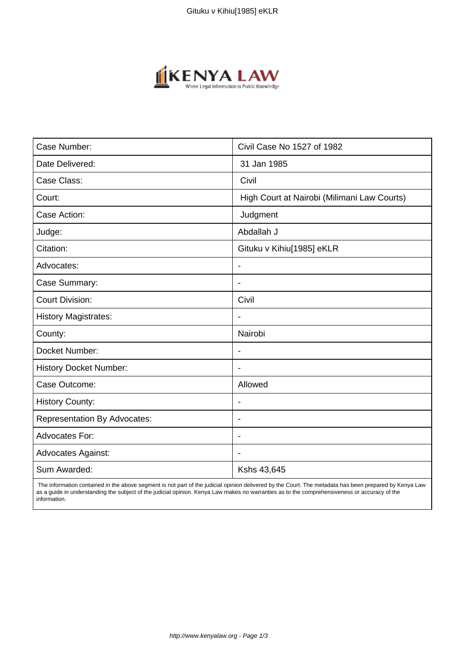

| Case Number:                        | Civil Case No 1527 of 1982                  |
|-------------------------------------|---------------------------------------------|
| Date Delivered:                     | 31 Jan 1985                                 |
| Case Class:                         | Civil                                       |
| Court:                              | High Court at Nairobi (Milimani Law Courts) |
| Case Action:                        | Judgment                                    |
| Judge:                              | Abdallah J                                  |
| Citation:                           | Gituku v Kihiu[1985] eKLR                   |
| Advocates:                          | $\overline{\phantom{a}}$                    |
| Case Summary:                       | $\blacksquare$                              |
| <b>Court Division:</b>              | Civil                                       |
| <b>History Magistrates:</b>         | $\blacksquare$                              |
| County:                             | Nairobi                                     |
| Docket Number:                      |                                             |
| <b>History Docket Number:</b>       | $\blacksquare$                              |
| Case Outcome:                       | Allowed                                     |
| <b>History County:</b>              | $\overline{\phantom{a}}$                    |
| <b>Representation By Advocates:</b> | $\overline{\phantom{a}}$                    |
| <b>Advocates For:</b>               | $\blacksquare$                              |
| <b>Advocates Against:</b>           |                                             |
| Sum Awarded:                        | Kshs 43,645                                 |

 The information contained in the above segment is not part of the judicial opinion delivered by the Court. The metadata has been prepared by Kenya Law as a guide in understanding the subject of the judicial opinion. Kenya Law makes no warranties as to the comprehensiveness or accuracy of the information.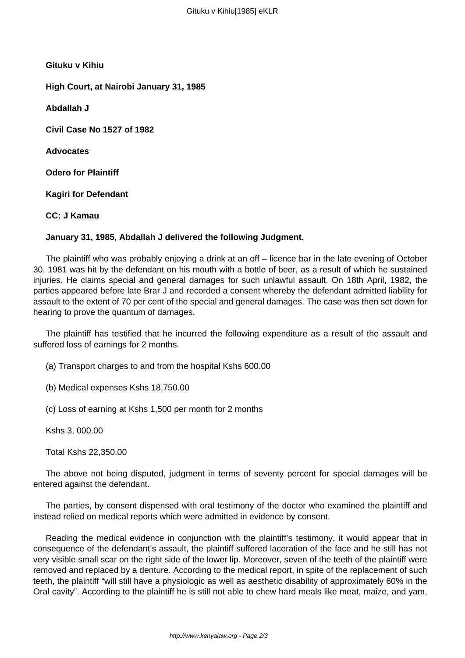**Gituku v Kihiu**

**High Court, at Nairobi January 31, 1985**

**Abdallah J**

**Civil Case No 1527 of 1982**

**Advocates**

**Odero for Plaintiff**

**Kagiri for Defendant**

**CC: J Kamau**

## **January 31, 1985, Abdallah J delivered the following Judgment.**

The plaintiff who was probably enjoying a drink at an off – licence bar in the late evening of October 30, 1981 was hit by the defendant on his mouth with a bottle of beer, as a result of which he sustained injuries. He claims special and general damages for such unlawful assault. On 18th April, 1982, the parties appeared before late Brar J and recorded a consent whereby the defendant admitted liability for assault to the extent of 70 per cent of the special and general damages. The case was then set down for hearing to prove the quantum of damages.

The plaintiff has testified that he incurred the following expenditure as a result of the assault and suffered loss of earnings for 2 months.

- (a) Transport charges to and from the hospital Kshs 600.00
- (b) Medical expenses Kshs 18,750.00
- (c) Loss of earning at Kshs 1,500 per month for 2 months

Kshs 3, 000.00

Total Kshs 22,350.00

The above not being disputed, judgment in terms of seventy percent for special damages will be entered against the defendant.

The parties, by consent dispensed with oral testimony of the doctor who examined the plaintiff and instead relied on medical reports which were admitted in evidence by consent.

Reading the medical evidence in conjunction with the plaintiff's testimony, it would appear that in consequence of the defendant's assault, the plaintiff suffered laceration of the face and he still has not very visible small scar on the right side of the lower lip. Moreover, seven of the teeth of the plaintiff were removed and replaced by a denture. According to the medical report, in spite of the replacement of such teeth, the plaintiff "will still have a physiologic as well as aesthetic disability of approximately 60% in the Oral cavity". According to the plaintiff he is still not able to chew hard meals like meat, maize, and yam,